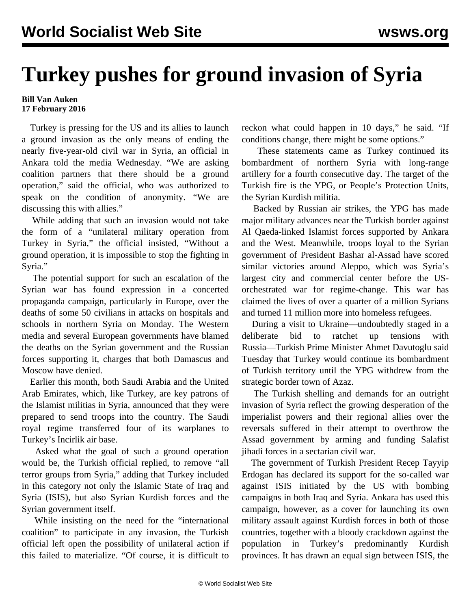## **Turkey pushes for ground invasion of Syria**

## **Bill Van Auken 17 February 2016**

 Turkey is pressing for the US and its allies to launch a ground invasion as the only means of ending the nearly five-year-old civil war in Syria, an official in Ankara told the media Wednesday. "We are asking coalition partners that there should be a ground operation," said the official, who was authorized to speak on the condition of anonymity. "We are discussing this with allies."

 While adding that such an invasion would not take the form of a "unilateral military operation from Turkey in Syria," the official insisted, "Without a ground operation, it is impossible to stop the fighting in Syria."

 The potential support for such an escalation of the Syrian war has found expression in a concerted propaganda campaign, particularly in Europe, over the deaths of some 50 civilians in attacks on hospitals and schools in northern Syria on Monday. The Western media and several European governments have blamed the deaths on the Syrian government and the Russian forces supporting it, charges that both Damascus and Moscow have denied.

 Earlier this month, both Saudi Arabia and the United Arab Emirates, which, like Turkey, are key patrons of the Islamist militias in Syria, announced that they were prepared to send troops into the country. The Saudi royal regime transferred four of its warplanes to Turkey's Incirlik air base.

 Asked what the goal of such a ground operation would be, the Turkish official replied, to remove "all terror groups from Syria," adding that Turkey included in this category not only the Islamic State of Iraq and Syria (ISIS), but also Syrian Kurdish forces and the Syrian government itself.

 While insisting on the need for the "international coalition" to participate in any invasion, the Turkish official left open the possibility of unilateral action if this failed to materialize. "Of course, it is difficult to reckon what could happen in 10 days," he said. "If conditions change, there might be some options."

 These statements came as Turkey continued its bombardment of northern Syria with long-range artillery for a fourth consecutive day. The target of the Turkish fire is the YPG, or People's Protection Units, the Syrian Kurdish militia.

 Backed by Russian air strikes, the YPG has made major military advances near the Turkish border against Al Qaeda-linked Islamist forces supported by Ankara and the West. Meanwhile, troops loyal to the Syrian government of President Bashar al-Assad have scored similar victories around Aleppo, which was Syria's largest city and commercial center before the USorchestrated war for regime-change. This war has claimed the lives of over a quarter of a million Syrians and turned 11 million more into homeless refugees.

 During a visit to Ukraine—undoubtedly staged in a deliberate bid to ratchet up tensions with Russia—Turkish Prime Minister Ahmet Davutoglu said Tuesday that Turkey would continue its bombardment of Turkish territory until the YPG withdrew from the strategic border town of Azaz.

 The Turkish shelling and demands for an outright invasion of Syria reflect the growing desperation of the imperialist powers and their regional allies over the reversals suffered in their attempt to overthrow the Assad government by arming and funding Salafist jihadi forces in a sectarian civil war.

 The government of Turkish President Recep Tayyip Erdogan has declared its support for the so-called war against ISIS initiated by the US with bombing campaigns in both Iraq and Syria. Ankara has used this campaign, however, as a cover for launching its own military assault against Kurdish forces in both of those countries, together with a bloody crackdown against the population in Turkey's predominantly Kurdish provinces. It has drawn an equal sign between ISIS, the